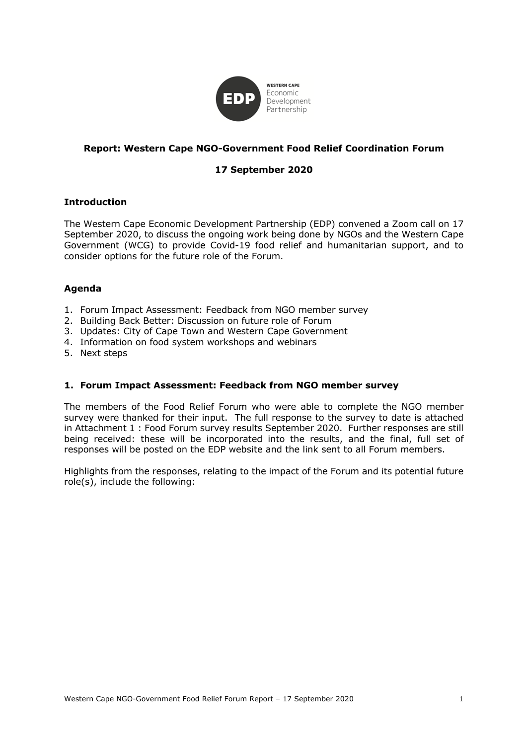

# **Report: Western Cape NGO-Government Food Relief Coordination Forum**

# **17 September 2020**

## **Introduction**

The Western Cape Economic Development Partnership (EDP) convened a Zoom call on 17 September 2020, to discuss the ongoing work being done by NGOs and the Western Cape Government (WCG) to provide Covid-19 food relief and humanitarian support, and to consider options for the future role of the Forum.

## **Agenda**

- 1. Forum Impact Assessment: Feedback from NGO member survey
- 2. Building Back Better: Discussion on future role of Forum
- 3. Updates: City of Cape Town and Western Cape Government
- 4. Information on food system workshops and webinars
- 5. Next steps

#### **1. Forum Impact Assessment: Feedback from NGO member survey**

The members of the Food Relief Forum who were able to complete the NGO member survey were thanked for their input. The full response to the survey to date is attached in Attachment 1 : Food Forum survey results September 2020. Further responses are still being received: these will be incorporated into the results, and the final, full set of responses will be posted on the EDP website and the link sent to all Forum members.

Highlights from the responses, relating to the impact of the Forum and its potential future role(s), include the following: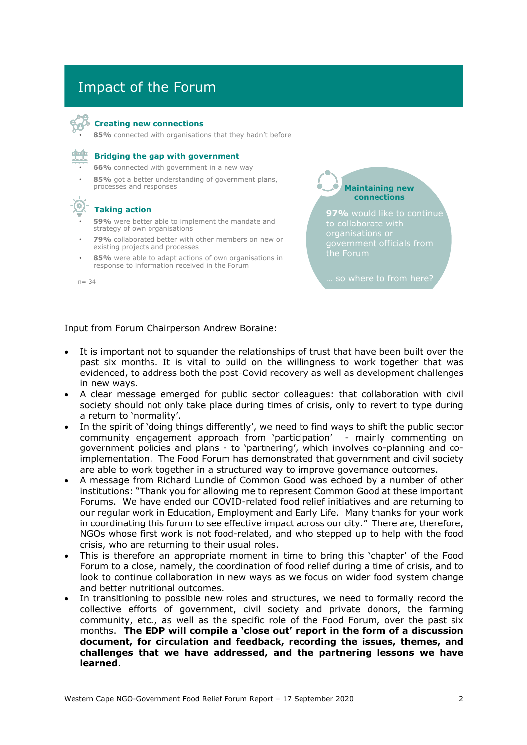# Impact of the Forum



#### **Creating new connections**

• **85%** connected with organisations that they hadn't before



#### **Bridging the gap with government**

• **66%** connected with government in a new way

85% got a better understanding of government plans, processes and responses

#### **Taking action**

- **59%** were better able to implement the mandate and strategy of own organisations
- **79%** collaborated better with other members on new or existing projects and processes
- 85% were able to adapt actions of own organisations in response to information received in the Forum

**Maintaining new connections**

**97%** would like to continue

 $n = 34$  ... so where to from here?

#### Input from Forum Chairperson Andrew Boraine:

- It is important not to squander the relationships of trust that have been built over the past six months. It is vital to build on the willingness to work together that was evidenced, to address both the post-Covid recovery as well as development challenges in new ways.
- A clear message emerged for public sector colleagues: that collaboration with civil society should not only take place during times of crisis, only to revert to type during a return to 'normality'.
- In the spirit of 'doing things differently', we need to find ways to shift the public sector community engagement approach from 'participation' - mainly commenting on government policies and plans - to 'partnering', which involves co-planning and coimplementation. The Food Forum has demonstrated that government and civil society are able to work together in a structured way to improve governance outcomes.
- A message from Richard Lundie of Common Good was echoed by a number of other institutions: "Thank you for allowing me to represent Common Good at these important Forums. We have ended our COVID-related food relief initiatives and are returning to our regular work in Education, Employment and Early Life. Many thanks for your work in coordinating this forum to see effective impact across our city." There are, therefore, NGOs whose first work is not food-related, and who stepped up to help with the food crisis, who are returning to their usual roles.
- This is therefore an appropriate moment in time to bring this 'chapter' of the Food Forum to a close, namely, the coordination of food relief during a time of crisis, and to look to continue collaboration in new ways as we focus on wider food system change and better nutritional outcomes.
- In transitioning to possible new roles and structures, we need to formally record the collective efforts of government, civil society and private donors, the farming community, etc., as well as the specific role of the Food Forum, over the past six months. **The EDP will compile a 'close out' report in the form of a discussion document, for circulation and feedback, recording the issues, themes, and challenges that we have addressed, and the partnering lessons we have learned**.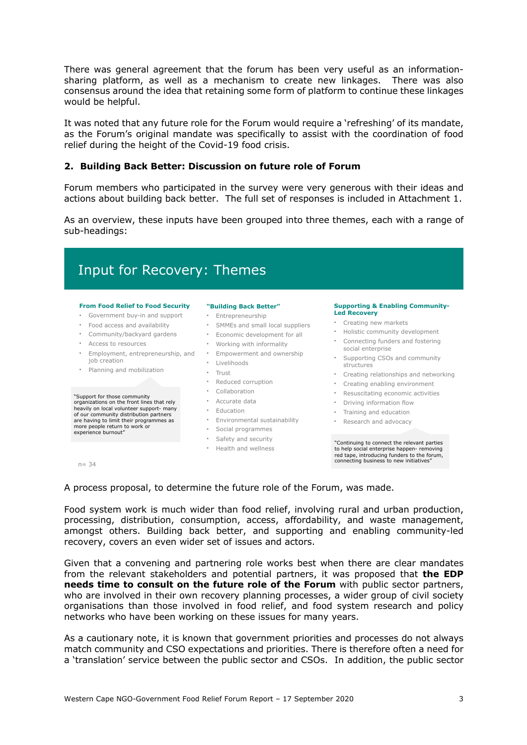There was general agreement that the forum has been very useful as an informationsharing platform, as well as a mechanism to create new linkages. There was also consensus around the idea that retaining some form of platform to continue these linkages would be helpful.

It was noted that any future role for the Forum would require a 'refreshing' of its mandate, as the Forum's original mandate was specifically to assist with the coordination of food relief during the height of the Covid-19 food crisis.

#### **2. Building Back Better: Discussion on future role of Forum**

Forum members who participated in the survey were very generous with their ideas and actions about building back better. The full set of responses is included in Attachment 1.

As an overview, these inputs have been grouped into three themes, each with a range of sub-headings:

# Input for Recovery: Themes

#### **From Food Relief to Food Security**

- Government buy-in and support
- Food access and availability
- Community/backyard gardens
- Access to resources
- Employment, entrepreneurship, and Empowerment and ownership job creation
- Planning and mobilization

# "Support for those community organizations on the front lines that rely heavily on local volunteer support- many of our community distribution partners are having to limit their programmes as more people return to work or experience burnout"

#### **"Building Back Better"**

- Entrepreneurship
- SMMEs and small local suppliers
- Economic development for all
- Working with informality
- 
- Livelihoods
- Trust
- Reduced corruption
- Collaboration
- Accurate data
- Education
	- Environmental sustainability Research and advocacy
- Social programmes
- Safety and security
- Health and wellness

#### **Supporting & Enabling Community-Led Recovery**

- Creating new markets
- Holistic community development
- Connecting funders and fostering social enterprise
- Supporting CSOs and community structures
- Creating relationships and networking
- Creating enabling environment
- Resuscitating economic activities
- Driving information flow
- Training and education
	-

"Continuing to connect the relevant parties to help social enterprise happen- removing red tape, introducing funders to the forum,  $n = 34$  connecting business to new initiatives"

A process proposal, to determine the future role of the Forum, was made.

Food system work is much wider than food relief, involving rural and urban production, processing, distribution, consumption, access, affordability, and waste management, amongst others. Building back better, and supporting and enabling community-led recovery, covers an even wider set of issues and actors.

Given that a convening and partnering role works best when there are clear mandates from the relevant stakeholders and potential partners, it was proposed that **the EDP needs time to consult on the future role of the Forum** with public sector partners, who are involved in their own recovery planning processes, a wider group of civil society organisations than those involved in food relief, and food system research and policy networks who have been working on these issues for many years.

As a cautionary note, it is known that government priorities and processes do not always match community and CSO expectations and priorities. There is therefore often a need for a 'translation' service between the public sector and CSOs. In addition, the public sector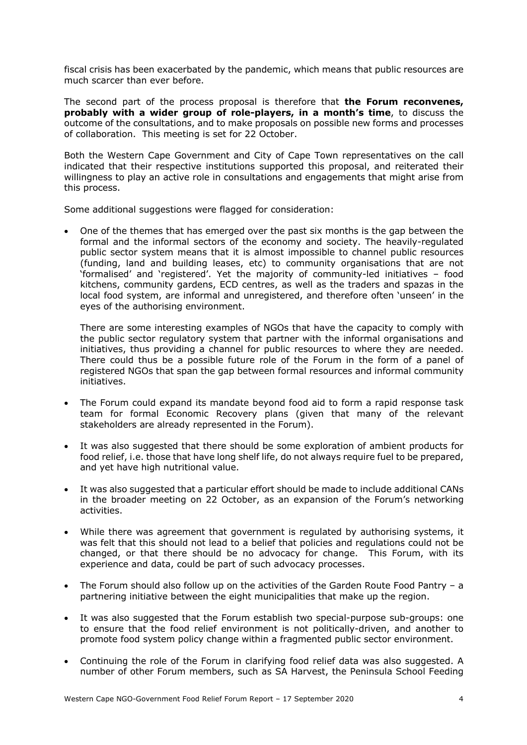fiscal crisis has been exacerbated by the pandemic, which means that public resources are much scarcer than ever before.

The second part of the process proposal is therefore that **the Forum reconvenes, probably with a wider group of role-players, in a month's time**, to discuss the outcome of the consultations, and to make proposals on possible new forms and processes of collaboration. This meeting is set for 22 October.

Both the Western Cape Government and City of Cape Town representatives on the call indicated that their respective institutions supported this proposal, and reiterated their willingness to play an active role in consultations and engagements that might arise from this process.

Some additional suggestions were flagged for consideration:

• One of the themes that has emerged over the past six months is the gap between the formal and the informal sectors of the economy and society. The heavily-regulated public sector system means that it is almost impossible to channel public resources (funding, land and building leases, etc) to community organisations that are not 'formalised' and 'registered'. Yet the majority of community-led initiatives – food kitchens, community gardens, ECD centres, as well as the traders and spazas in the local food system, are informal and unregistered, and therefore often 'unseen' in the eyes of the authorising environment.

There are some interesting examples of NGOs that have the capacity to comply with the public sector regulatory system that partner with the informal organisations and initiatives, thus providing a channel for public resources to where they are needed. There could thus be a possible future role of the Forum in the form of a panel of registered NGOs that span the gap between formal resources and informal community initiatives.

- The Forum could expand its mandate beyond food aid to form a rapid response task team for formal Economic Recovery plans (given that many of the relevant stakeholders are already represented in the Forum).
- It was also suggested that there should be some exploration of ambient products for food relief, i.e. those that have long shelf life, do not always require fuel to be prepared, and yet have high nutritional value.
- It was also suggested that a particular effort should be made to include additional CANs in the broader meeting on 22 October, as an expansion of the Forum's networking activities.
- While there was agreement that government is regulated by authorising systems, it was felt that this should not lead to a belief that policies and regulations could not be changed, or that there should be no advocacy for change. This Forum, with its experience and data, could be part of such advocacy processes.
- The Forum should also follow up on the activities of the Garden Route Food Pantry a partnering initiative between the eight municipalities that make up the region.
- It was also suggested that the Forum establish two special-purpose sub-groups: one to ensure that the food relief environment is not politically-driven, and another to promote food system policy change within a fragmented public sector environment.
- Continuing the role of the Forum in clarifying food relief data was also suggested. A number of other Forum members, such as SA Harvest, the Peninsula School Feeding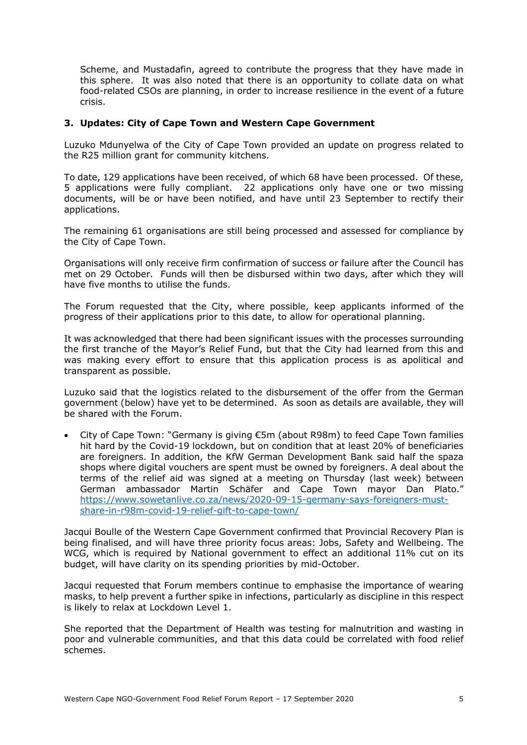Scheme, and Mustadafin, agreed to contribute the progress that they have made in this sphere. It was also noted that there is an opportunity to collate data on what food-related CSOs are planning, in order to increase resilience in the event of a future crisis.

#### **3. Updates: City of Cape Town and Western Cape Government**

Luzuko Mdunyelwa of the City of Cape Town provided an update on progress related to the R25 million grant for community kitchens.

To date, 129 applications have been received, of which 68 have been processed. Of these, 5 applications were fully compliant. 22 applications only have one or two missing documents, will be or have been notified, and have until 23 September to rectify their applications.

The remaining 61 organisations are still being processed and assessed for compliance by the City of Cape Town.

Organisations will only receive firm confirmation of success or failure after the Council has met on 29 October. Funds will then be disbursed within two days, after which they will have five months to utilise the funds.

The Forum requested that the City, where possible, keep applicants informed of the progress of their applications prior to this date, to allow for operational planning.

It was acknowledged that there had been significant issues with the processes surrounding the first tranche of the Mayor's Relief Fund, but that the City had learned from this and was making every effort to ensure that this application process is as apolitical and transparent as possible.

Luzuko said that the logistics related to the disbursement of the offer from the German government (below) have yet to be determined. As soon as details are available, they will be shared with the Forum.

• City of Cape Town: "Germany is giving €5m (about R98m) to feed Cape Town families hit hard by the Covid-19 lockdown, but on condition that at least 20% of beneficiaries are foreigners. In addition, the KfW German Development Bank said half the spaza shops where digital vouchers are spent must be owned by foreigners. A deal about the terms of the relief aid was signed at a meeting on Thursday (last week) between German ambassador Martin Schäfer and Cape Town mayor Dan Plato." https://www.sowetanlive.co.za/news/2020-09-15-germany-says-foreigners-mustshare-in-r98m-covid-19-relief-gift-to-cape-town/

Jacqui Boulle of the Western Cape Government confirmed that Provincial Recovery Plan is being finalised, and will have three priority focus areas: Jobs, Safety and Wellbeing. The WCG, which is required by National government to effect an additional 11% cut on its budget, will have clarity on its spending priorities by mid-October.

Jacqui requested that Forum members continue to emphasise the importance of wearing masks, to help prevent a further spike in infections, particularly as discipline in this respect is likely to relax at Lockdown Level 1.

She reported that the Department of Health was testing for malnutrition and wasting in poor and vulnerable communities, and that this data could be correlated with food relief schemes.